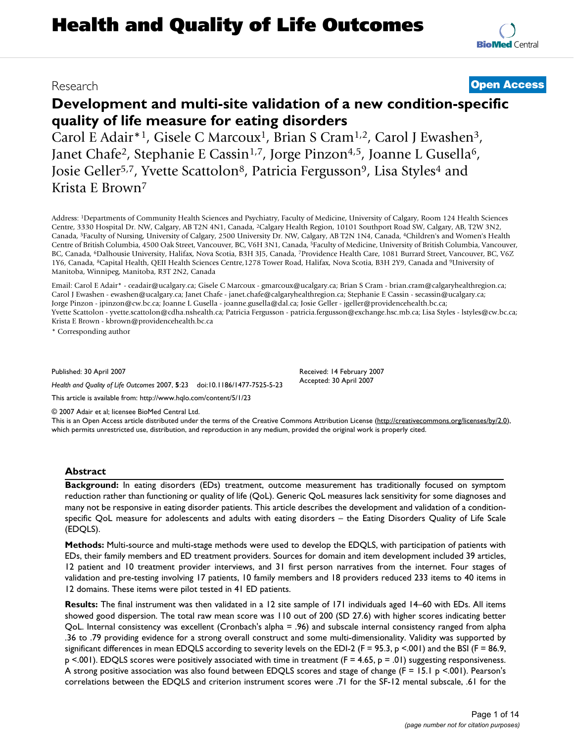# **Development and multi-site validation of a new condition-specific quality of life measure for eating disorders**

Carol E Adair<sup>\*1</sup>, Gisele C Marcoux<sup>1</sup>, Brian S Cram<sup>1,2</sup>, Carol J Ewashen<sup>3</sup>, Janet Chafe<sup>2</sup>, Stephanie E Cassin<sup>1,7</sup>, Jorge Pinzon<sup>4,5</sup>, Joanne L Gusella<sup>6</sup>, Josie Geller<sup>5,7</sup>, Yvette Scattolon<sup>8</sup>, Patricia Fergusson<sup>9</sup>, Lisa Styles<sup>4</sup> and Krista E Brown7

Address: 1Departments of Community Health Sciences and Psychiatry, Faculty of Medicine, University of Calgary, Room 124 Health Sciences Centre, 3330 Hospital Dr. NW, Calgary, AB T2N 4N1, Canada, 2Calgary Health Region, 10101 Southport Road SW, Calgary, AB, T2W 3N2, Canada, 3Faculty of Nursing, University of Calgary, 2500 University Dr. NW, Calgary, AB T2N 1N4, Canada, 4Children's and Women's Health Centre of British Columbia, 4500 Oak Street, Vancouver, BC, V6H 3N1, Canada, 5Faculty of Medicine, University of British Columbia, Vancouver, BC, Canada, <sup>6</sup>Dalhousie University, Halifax, Nova Scotia, B3H 3J5, Canada, <sup>7</sup>Providence Health Care, 1081 Burrard Street, Vancouver, BC, V6Z 1Y6, Canada, 8Capital Health, QEII Health Sciences Centre,1278 Tower Road, Halifax, Nova Scotia, B3H 2Y9, Canada and 9University of Manitoba, Winnipeg, Manitoba, R3T 2N2, Canada

Email: Carol E Adair\* - ceadair@ucalgary.ca; Gisele C Marcoux - gmarcoux@ucalgary.ca; Brian S Cram - brian.cram@calgaryhealthregion.ca; Carol J Ewashen - ewashen@ucalgary.ca; Janet Chafe - janet.chafe@calgaryhealthregion.ca; Stephanie E Cassin - secassin@ucalgary.ca; Jorge Pinzon - jpinzon@cw.bc.ca; Joanne L Gusella - joanne.gusella@dal.ca; Josie Geller - jgeller@providencehealth.bc.ca; Yvette Scattolon - yvette.scattolon@cdha.nshealth.ca; Patricia Fergusson - patricia.fergusson@exchange.hsc.mb.ca; Lisa Styles - lstyles@cw.bc.ca; Krista E Brown - kbrown@providencehealth.bc.ca

\* Corresponding author

Published: 30 April 2007

*Health and Quality of Life Outcomes* 2007, **5**:23 doi:10.1186/1477-7525-5-23

[This article is available from: http://www.hqlo.com/content/5/1/23](http://www.hqlo.com/content/5/1/23)

© 2007 Adair et al; licensee BioMed Central Ltd.

This is an Open Access article distributed under the terms of the Creative Commons Attribution License [\(http://creativecommons.org/licenses/by/2.0\)](http://creativecommons.org/licenses/by/2.0), which permits unrestricted use, distribution, and reproduction in any medium, provided the original work is properly cited.

#### **Abstract**

**Background:** In eating disorders (EDs) treatment, outcome measurement has traditionally focused on symptom reduction rather than functioning or quality of life (QoL). Generic QoL measures lack sensitivity for some diagnoses and many not be responsive in eating disorder patients. This article describes the development and validation of a conditionspecific QoL measure for adolescents and adults with eating disorders – the Eating Disorders Quality of Life Scale (EDQLS).

**Methods:** Multi-source and multi-stage methods were used to develop the EDQLS, with participation of patients with EDs, their family members and ED treatment providers. Sources for domain and item development included 39 articles, 12 patient and 10 treatment provider interviews, and 31 first person narratives from the internet. Four stages of validation and pre-testing involving 17 patients, 10 family members and 18 providers reduced 233 items to 40 items in 12 domains. These items were pilot tested in 41 ED patients.

**Results:** The final instrument was then validated in a 12 site sample of 171 individuals aged 14–60 with EDs. All items showed good dispersion. The total raw mean score was 110 out of 200 (SD 27.6) with higher scores indicating better QoL. Internal consistency was excellent (Cronbach's alpha = .96) and subscale internal consistency ranged from alpha .36 to .79 providing evidence for a strong overall construct and some multi-dimensionality. Validity was supported by significant differences in mean EDQLS according to severity levels on the EDI-2 (F = 95.3, p <.001) and the BSI (F = 86.9,  $p$  <.001). EDQLS scores were positively associated with time in treatment (F = 4.65,  $p$  = .01) suggesting responsiveness. A strong positive association was also found between EDQLS scores and stage of change (F = 15.1 p <.001). Pearson's correlations between the EDQLS and criterion instrument scores were .71 for the SF-12 mental subscale, .61 for the

## Research **[Open Access](http://www.biomedcentral.com/info/about/charter/)**

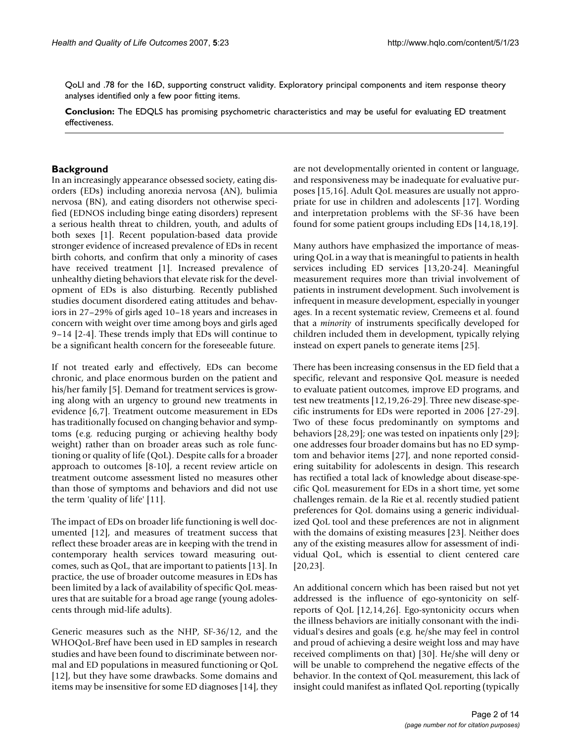QoLI and .78 for the 16D, supporting construct validity. Exploratory principal components and item response theory analyses identified only a few poor fitting items.

**Conclusion:** The EDQLS has promising psychometric characteristics and may be useful for evaluating ED treatment effectiveness.

#### **Background**

In an increasingly appearance obsessed society, eating disorders (EDs) including anorexia nervosa (AN), bulimia nervosa (BN), and eating disorders not otherwise specified (EDNOS including binge eating disorders) represent a serious health threat to children, youth, and adults of both sexes [1]. Recent population-based data provide stronger evidence of increased prevalence of EDs in recent birth cohorts, and confirm that only a minority of cases have received treatment [1]. Increased prevalence of unhealthy dieting behaviors that elevate risk for the development of EDs is also disturbing. Recently published studies document disordered eating attitudes and behaviors in 27–29% of girls aged 10–18 years and increases in concern with weight over time among boys and girls aged 9–14 [2-4]. These trends imply that EDs will continue to be a significant health concern for the foreseeable future.

If not treated early and effectively, EDs can become chronic, and place enormous burden on the patient and his/her family [5]. Demand for treatment services is growing along with an urgency to ground new treatments in evidence [6,7]. Treatment outcome measurement in EDs has traditionally focused on changing behavior and symptoms (e.g. reducing purging or achieving healthy body weight) rather than on broader areas such as role functioning or quality of life (QoL). Despite calls for a broader approach to outcomes [8-10], a recent review article on treatment outcome assessment listed no measures other than those of symptoms and behaviors and did not use the term 'quality of life' [11].

The impact of EDs on broader life functioning is well documented [12], and measures of treatment success that reflect these broader areas are in keeping with the trend in contemporary health services toward measuring outcomes, such as QoL, that are important to patients [13]. In practice, the use of broader outcome measures in EDs has been limited by a lack of availability of specific QoL measures that are suitable for a broad age range (young adolescents through mid-life adults).

Generic measures such as the NHP, SF-36/12, and the WHOQoL-Bref have been used in ED samples in research studies and have been found to discriminate between normal and ED populations in measured functioning or QoL [12], but they have some drawbacks. Some domains and items may be insensitive for some ED diagnoses [14], they are not developmentally oriented in content or language, and responsiveness may be inadequate for evaluative purposes [15,16]. Adult QoL measures are usually not appropriate for use in children and adolescents [17]. Wording and interpretation problems with the SF-36 have been found for some patient groups including EDs [14,18,19].

Many authors have emphasized the importance of measuring QoL in a way that is meaningful to patients in health services including ED services [13,20-24]. Meaningful measurement requires more than trivial involvement of patients in instrument development. Such involvement is infrequent in measure development, especially in younger ages. In a recent systematic review, Cremeens et al. found that a *minority* of instruments specifically developed for children included them in development, typically relying instead on expert panels to generate items [25].

There has been increasing consensus in the ED field that a specific, relevant and responsive QoL measure is needed to evaluate patient outcomes, improve ED programs, and test new treatments [12,19,26-29]. Three new disease-specific instruments for EDs were reported in 2006 [27-29]. Two of these focus predominantly on symptoms and behaviors [28,29]; one was tested on inpatients only [29]; one addresses four broader domains but has no ED symptom and behavior items [27], and none reported considering suitability for adolescents in design. This research has rectified a total lack of knowledge about disease-specific QoL measurement for EDs in a short time, yet some challenges remain. de la Rie et al. recently studied patient preferences for QoL domains using a generic individualized QoL tool and these preferences are not in alignment with the domains of existing measures [23]. Neither does any of the existing measures allow for assessment of individual QoL, which is essential to client centered care [20,23].

An additional concern which has been raised but not yet addressed is the influence of ego-syntonicity on selfreports of QoL [12,14,26]. Ego-syntonicity occurs when the illness behaviors are initially consonant with the individual's desires and goals (e.g. he/she may feel in control and proud of achieving a desire weight loss and may have received compliments on that) [30]. He/she will deny or will be unable to comprehend the negative effects of the behavior. In the context of QoL measurement, this lack of insight could manifest as inflated QoL reporting (typically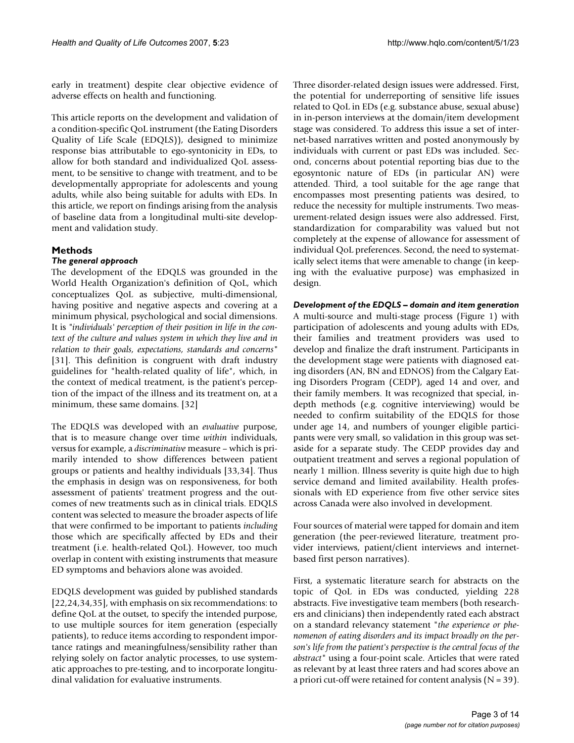early in treatment) despite clear objective evidence of adverse effects on health and functioning.

This article reports on the development and validation of a condition-specific QoL instrument (the Eating Disorders Quality of Life Scale (EDQLS)), designed to minimize response bias attributable to ego-syntonicity in EDs, to allow for both standard and individualized QoL assessment, to be sensitive to change with treatment, and to be developmentally appropriate for adolescents and young adults, while also being suitable for adults with EDs. In this article, we report on findings arising from the analysis of baseline data from a longitudinal multi-site development and validation study.

### **Methods**

### *The general approach*

The development of the EDQLS was grounded in the World Health Organization's definition of QoL, which conceptualizes QoL as subjective, multi-dimensional, having positive and negative aspects and covering at a minimum physical, psychological and social dimensions. It is *"individuals' perception of their position in life in the context of the culture and values system in which they live and in relation to their goals, expectations, standards and concerns"* [31]. This definition is congruent with draft industry guidelines for "health-related quality of life", which, in the context of medical treatment, is the patient's perception of the impact of the illness and its treatment on, at a minimum, these same domains. [32]

The EDQLS was developed with an *evaluative* purpose, that is to measure change over time *within* individuals, versus for example, a *discriminative* measure – which is primarily intended to show differences between patient groups or patients and healthy individuals [33,34]. Thus the emphasis in design was on responsiveness, for both assessment of patients' treatment progress and the outcomes of new treatments such as in clinical trials. EDQLS content was selected to measure the broader aspects of life that were confirmed to be important to patients *including* those which are specifically affected by EDs and their treatment (i.e. health-related QoL). However, too much overlap in content with existing instruments that measure ED symptoms and behaviors alone was avoided.

EDQLS development was guided by published standards [22,24,34,35], with emphasis on six recommendations: to define QoL at the outset, to specify the intended purpose, to use multiple sources for item generation (especially patients), to reduce items according to respondent importance ratings and meaningfulness/sensibility rather than relying solely on factor analytic processes, to use systematic approaches to pre-testing, and to incorporate longitudinal validation for evaluative instruments.

Three disorder-related design issues were addressed. First, the potential for underreporting of sensitive life issues related to QoL in EDs (e.g. substance abuse, sexual abuse) in in-person interviews at the domain/item development stage was considered. To address this issue a set of internet-based narratives written and posted anonymously by individuals with current or past EDs was included. Second, concerns about potential reporting bias due to the egosyntonic nature of EDs (in particular AN) were attended. Third, a tool suitable for the age range that encompasses most presenting patients was desired, to reduce the necessity for multiple instruments. Two measurement-related design issues were also addressed. First, standardization for comparability was valued but not completely at the expense of allowance for assessment of individual QoL preferences. Second, the need to systematically select items that were amenable to change (in keeping with the evaluative purpose) was emphasized in design.

#### *Development of the EDQLS – domain and item generation*

A multi-source and multi-stage process (Figure 1) with participation of adolescents and young adults with EDs, their families and treatment providers was used to develop and finalize the draft instrument. Participants in the development stage were patients with diagnosed eating disorders (AN, BN and EDNOS) from the Calgary Eating Disorders Program (CEDP), aged 14 and over, and their family members. It was recognized that special, indepth methods (e.g. cognitive interviewing) would be needed to confirm suitability of the EDQLS for those under age 14, and numbers of younger eligible participants were very small, so validation in this group was setaside for a separate study. The CEDP provides day and outpatient treatment and serves a regional population of nearly 1 million. Illness severity is quite high due to high service demand and limited availability. Health professionals with ED experience from five other service sites across Canada were also involved in development.

Four sources of material were tapped for domain and item generation (the peer-reviewed literature, treatment provider interviews, patient/client interviews and internetbased first person narratives).

First, a systematic literature search for abstracts on the topic of QoL in EDs was conducted, yielding 228 abstracts. Five investigative team members (both researchers and clinicians) then independently rated each abstract on a standard relevancy statement "*the experience or phenomenon of eating disorders and its impact broadly on the person's life from the patient's perspective is the central focus of the abstract"* using a four-point scale. Articles that were rated as relevant by at least three raters and had scores above an a priori cut-off were retained for content analysis ( $N = 39$ ).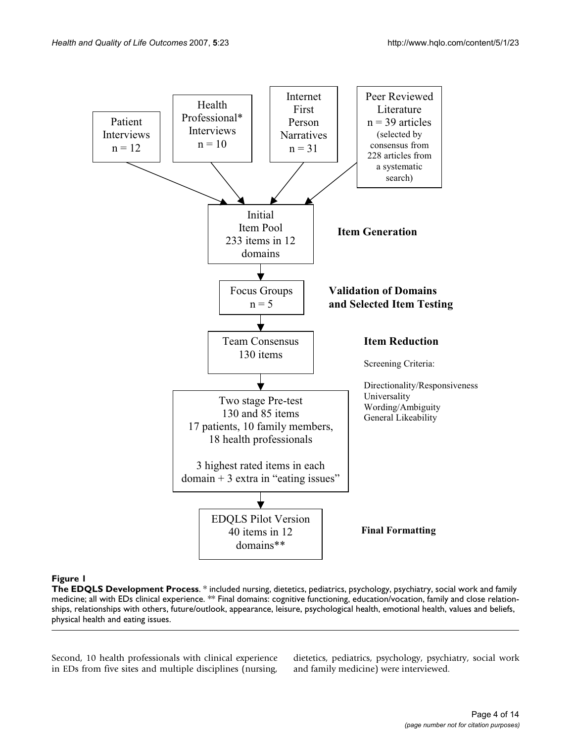

## **Figure 1**

**The EDQLS Development Process**. \* included nursing, dietetics, pediatrics, psychology, psychiatry, social work and family medicine; all with EDs clinical experience. \*\* Final domains: cognitive functioning, education/vocation, family and close relationships, relationships with others, future/outlook, appearance, leisure, psychological health, emotional health, values and beliefs, physical health and eating issues.

Second, 10 health professionals with clinical experience in EDs from five sites and multiple disciplines (nursing, dietetics, pediatrics, psychology, psychiatry, social work and family medicine) were interviewed.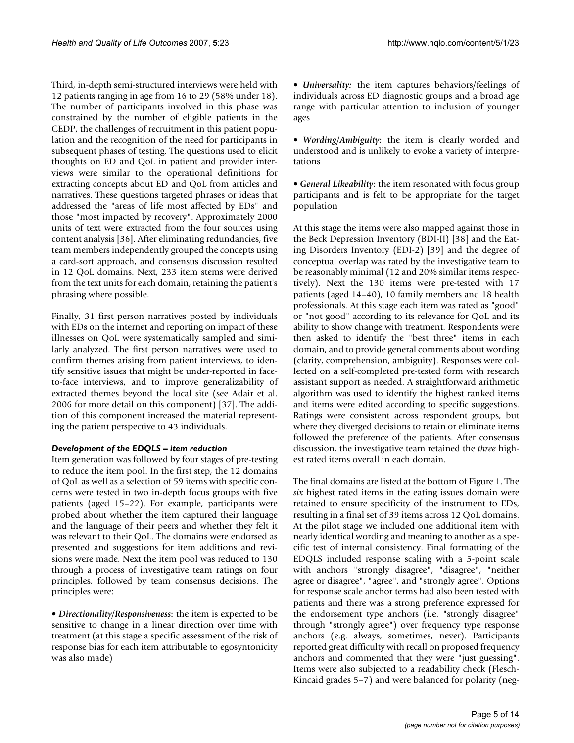Third, in-depth semi-structured interviews were held with 12 patients ranging in age from 16 to 29 (58% under 18). The number of participants involved in this phase was constrained by the number of eligible patients in the CEDP, the challenges of recruitment in this patient population and the recognition of the need for participants in subsequent phases of testing. The questions used to elicit thoughts on ED and QoL in patient and provider interviews were similar to the operational definitions for extracting concepts about ED and QoL from articles and narratives. These questions targeted phrases or ideas that addressed the "areas of life most affected by EDs" and those "most impacted by recovery". Approximately 2000 units of text were extracted from the four sources using content analysis [36]. After eliminating redundancies, five team members independently grouped the concepts using a card-sort approach, and consensus discussion resulted in 12 QoL domains. Next, 233 item stems were derived from the text units for each domain, retaining the patient's phrasing where possible.

Finally, 31 first person narratives posted by individuals with EDs on the internet and reporting on impact of these illnesses on QoL were systematically sampled and similarly analyzed. The first person narratives were used to confirm themes arising from patient interviews, to identify sensitive issues that might be under-reported in faceto-face interviews, and to improve generalizability of extracted themes beyond the local site (see Adair et al. 2006 for more detail on this component) [37]. The addition of this component increased the material representing the patient perspective to 43 individuals.

#### *Development of the EDQLS – item reduction*

Item generation was followed by four stages of pre-testing to reduce the item pool. In the first step, the 12 domains of QoL as well as a selection of 59 items with specific concerns were tested in two in-depth focus groups with five patients (aged 15–22). For example, participants were probed about whether the item captured their language and the language of their peers and whether they felt it was relevant to their QoL. The domains were endorsed as presented and suggestions for item additions and revisions were made. Next the item pool was reduced to 130 through a process of investigative team ratings on four principles, followed by team consensus decisions. The principles were:

• *Directionality/Responsiveness***:** the item is expected to be sensitive to change in a linear direction over time with treatment (at this stage a specific assessment of the risk of response bias for each item attributable to egosyntonicity was also made)

• *Universality:* the item captures behaviors/feelings of individuals across ED diagnostic groups and a broad age range with particular attention to inclusion of younger ages

• *Wording/Ambiguity:* the item is clearly worded and understood and is unlikely to evoke a variety of interpretations

• *General Likeability:* the item resonated with focus group participants and is felt to be appropriate for the target population

At this stage the items were also mapped against those in the Beck Depression Inventory (BDI-II) [38] and the Eating Disorders Inventory (EDI-2) [39] and the degree of conceptual overlap was rated by the investigative team to be reasonably minimal (12 and 20% similar items respectively). Next the 130 items were pre-tested with 17 patients (aged 14–40), 10 family members and 18 health professionals. At this stage each item was rated as "good" or "not good" according to its relevance for QoL and its ability to show change with treatment. Respondents were then asked to identify the "best three" items in each domain, and to provide general comments about wording (clarity, comprehension, ambiguity). Responses were collected on a self-completed pre-tested form with research assistant support as needed. A straightforward arithmetic algorithm was used to identify the highest ranked items and items were edited according to specific suggestions. Ratings were consistent across respondent groups, but where they diverged decisions to retain or eliminate items followed the preference of the patients. After consensus discussion, the investigative team retained the *three* highest rated items overall in each domain.

The final domains are listed at the bottom of Figure 1. The *six* highest rated items in the eating issues domain were retained to ensure specificity of the instrument to EDs, resulting in a final set of 39 items across 12 QoL domains. At the pilot stage we included one additional item with nearly identical wording and meaning to another as a specific test of internal consistency. Final formatting of the EDQLS included response scaling with a 5-point scale with anchors "strongly disagree", "disagree", "neither agree or disagree", "agree", and "strongly agree". Options for response scale anchor terms had also been tested with patients and there was a strong preference expressed for the endorsement type anchors (i.e. "strongly disagree" through "strongly agree") over frequency type response anchors (e.g. always, sometimes, never). Participants reported great difficulty with recall on proposed frequency anchors and commented that they were "just guessing". Items were also subjected to a readability check (Flesch-Kincaid grades 5–7) and were balanced for polarity (neg-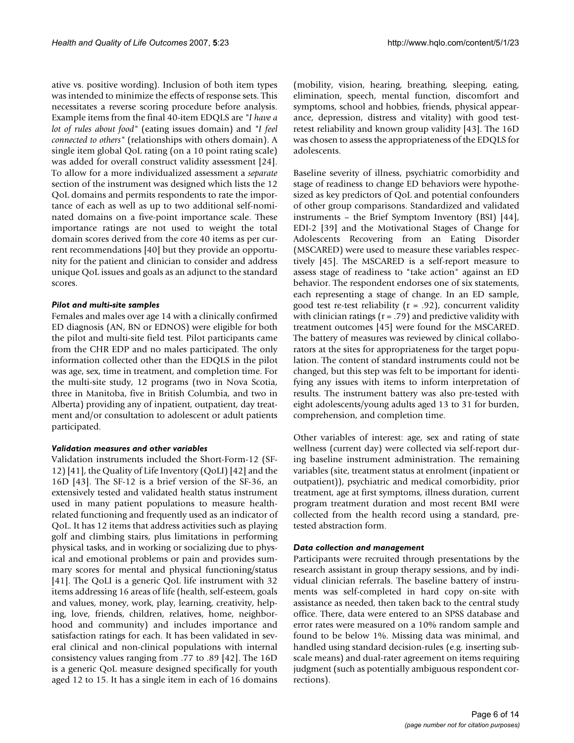ative vs. positive wording). Inclusion of both item types was intended to minimize the effects of response sets. This necessitates a reverse scoring procedure before analysis. Example items from the final 40-item EDQLS are *"I have a lot of rules about food"* (eating issues domain) and *"I feel connected to others"* (relationships with others domain). A single item global QoL rating (on a 10 point rating scale) was added for overall construct validity assessment [24]. To allow for a more individualized assessment a *separate* section of the instrument was designed which lists the 12 QoL domains and permits respondents to rate the importance of each as well as up to two additional self-nominated domains on a five-point importance scale. These importance ratings are not used to weight the total domain scores derived from the core 40 items as per current recommendations [40] but they provide an opportunity for the patient and clinician to consider and address unique QoL issues and goals as an adjunct to the standard scores.

#### *Pilot and multi-site samples*

Females and males over age 14 with a clinically confirmed ED diagnosis (AN, BN or EDNOS) were eligible for both the pilot and multi-site field test. Pilot participants came from the CHR EDP and no males participated. The only information collected other than the EDQLS in the pilot was age, sex, time in treatment, and completion time. For the multi-site study, 12 programs (two in Nova Scotia, three in Manitoba, five in British Columbia, and two in Alberta) providing any of inpatient, outpatient, day treatment and/or consultation to adolescent or adult patients participated.

#### *Validation measures and other variables*

Validation instruments included the Short-Form-12 (SF-12) [41], the Quality of Life Inventory (QoLI) [42] and the 16D [43]. The SF-12 is a brief version of the SF-36, an extensively tested and validated health status instrument used in many patient populations to measure healthrelated functioning and frequently used as an indicator of QoL. It has 12 items that address activities such as playing golf and climbing stairs, plus limitations in performing physical tasks, and in working or socializing due to physical and emotional problems or pain and provides summary scores for mental and physical functioning/status [41]. The QoLI is a generic QoL life instrument with 32 items addressing 16 areas of life (health, self-esteem, goals and values, money, work, play, learning, creativity, helping, love, friends, children, relatives, home, neighborhood and community) and includes importance and satisfaction ratings for each. It has been validated in several clinical and non-clinical populations with internal consistency values ranging from .77 to .89 [42]. The 16D is a generic QoL measure designed specifically for youth aged 12 to 15. It has a single item in each of 16 domains (mobility, vision, hearing, breathing, sleeping, eating, elimination, speech, mental function, discomfort and symptoms, school and hobbies, friends, physical appearance, depression, distress and vitality) with good testretest reliability and known group validity [43]. The 16D was chosen to assess the appropriateness of the EDQLS for adolescents.

Baseline severity of illness, psychiatric comorbidity and stage of readiness to change ED behaviors were hypothesized as key predictors of QoL and potential confounders of other group comparisons. Standardized and validated instruments – the Brief Symptom Inventory (BSI) [44], EDI-2 [39] and the Motivational Stages of Change for Adolescents Recovering from an Eating Disorder (MSCARED) were used to measure these variables respectively [45]. The MSCARED is a self-report measure to assess stage of readiness to "take action" against an ED behavior. The respondent endorses one of six statements, each representing a stage of change. In an ED sample, good test re-test reliability ( $r = .92$ ), concurrent validity with clinician ratings ( $r = .79$ ) and predictive validity with treatment outcomes [45] were found for the MSCARED. The battery of measures was reviewed by clinical collaborators at the sites for appropriateness for the target population. The content of standard instruments could not be changed, but this step was felt to be important for identifying any issues with items to inform interpretation of results. The instrument battery was also pre-tested with eight adolescents/young adults aged 13 to 31 for burden, comprehension, and completion time.

Other variables of interest: age, sex and rating of state wellness (current day) were collected via self-report during baseline instrument administration. The remaining variables (site, treatment status at enrolment (inpatient or outpatient)), psychiatric and medical comorbidity, prior treatment, age at first symptoms, illness duration, current program treatment duration and most recent BMI were collected from the health record using a standard, pretested abstraction form.

#### *Data collection and management*

Participants were recruited through presentations by the research assistant in group therapy sessions, and by individual clinician referrals. The baseline battery of instruments was self-completed in hard copy on-site with assistance as needed, then taken back to the central study office. There, data were entered to an SPSS database and error rates were measured on a 10% random sample and found to be below 1%. Missing data was minimal, and handled using standard decision-rules (e.g. inserting subscale means) and dual-rater agreement on items requiring judgment (such as potentially ambiguous respondent corrections).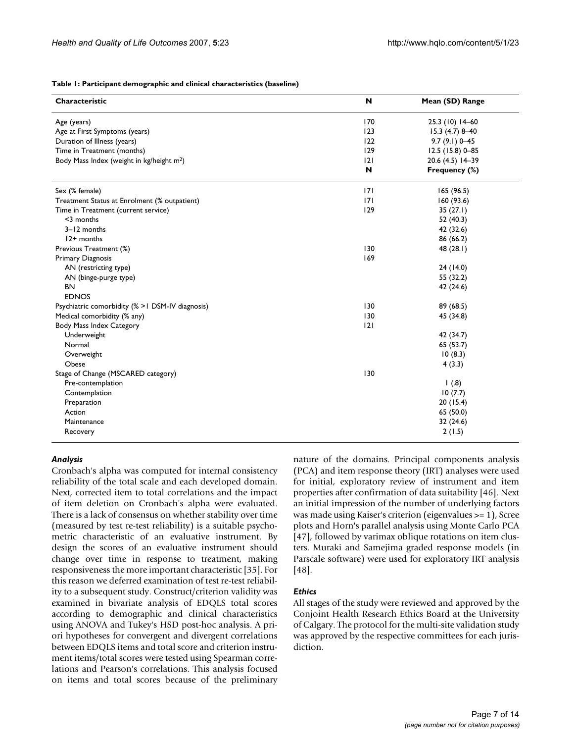**Table 1: Participant demographic and clinical characteristics (baseline)**

| Characteristic                                        | N   | Mean (SD) Range    |
|-------------------------------------------------------|-----|--------------------|
| Age (years)                                           | 170 | 25.3 (10) 14-60    |
| Age at First Symptoms (years)                         | 123 | $15.3(4.7)8 - 40$  |
| Duration of Illness (years)                           | 122 | $9.7(9.1)0 - 45$   |
| Time in Treatment (months)                            | 129 | $12.5$ (15.8) 0-85 |
| Body Mass Index (weight in kg/height m <sup>2</sup> ) | 2   | 20.6 (4.5) 14-39   |
|                                                       | N   | Frequency (%)      |
| Sex (% female)                                        | 7   | 165 (96.5)         |
| Treatment Status at Enrolment (% outpatient)          | 7   | 160(93.6)          |
| Time in Treatment (current service)                   | 129 | 35(27.1)           |
| <3 months                                             |     | 52 (40.3)          |
| 3-12 months                                           |     | 42 (32.6)          |
| 12+ months                                            |     | 86 (66.2)          |
| Previous Treatment (%)                                | 130 | 48 (28.1)          |
| Primary Diagnosis                                     | 169 |                    |
| AN (restricting type)                                 |     | 24 (14.0)          |
| AN (binge-purge type)                                 |     | 55 (32.2)          |
| <b>BN</b>                                             |     | 42 (24.6)          |
| <b>EDNOS</b>                                          |     |                    |
| Psychiatric comorbidity (% > I DSM-IV diagnosis)      | 130 | 89 (68.5)          |
| Medical comorbidity (% any)                           | 130 | 45 (34.8)          |
| Body Mass Index Category                              | 2   |                    |
| Underweight                                           |     | 42 (34.7)          |
| Normal                                                |     | 65 (53.7)          |
| Overweight                                            |     | 10(8.3)            |
| Obese                                                 |     | 4(3.3)             |
| Stage of Change (MSCARED category)                    | 130 |                    |
| Pre-contemplation                                     |     | (0.8)              |
| Contemplation                                         |     | 10(7.7)            |
| Preparation                                           |     | 20(15.4)           |
| Action                                                |     | 65 (50.0)          |
| Maintenance                                           |     | 32 (24.6)          |
| Recovery                                              |     | 2(1.5)             |

#### *Analysis*

Cronbach's alpha was computed for internal consistency reliability of the total scale and each developed domain. Next, corrected item to total correlations and the impact of item deletion on Cronbach's alpha were evaluated. There is a lack of consensus on whether stability over time (measured by test re-test reliability) is a suitable psychometric characteristic of an evaluative instrument. By design the scores of an evaluative instrument should change over time in response to treatment, making responsiveness the more important characteristic [35]. For this reason we deferred examination of test re-test reliability to a subsequent study. Construct/criterion validity was examined in bivariate analysis of EDQLS total scores according to demographic and clinical characteristics using ANOVA and Tukey's HSD post-hoc analysis. A priori hypotheses for convergent and divergent correlations between EDQLS items and total score and criterion instrument items/total scores were tested using Spearman correlations and Pearson's correlations. This analysis focused on items and total scores because of the preliminary nature of the domains. Principal components analysis (PCA) and item response theory (IRT) analyses were used for initial, exploratory review of instrument and item properties after confirmation of data suitability [46]. Next an initial impression of the number of underlying factors was made using Kaiser's criterion (eigenvalues >= 1), Scree plots and Horn's parallel analysis using Monte Carlo PCA [47], followed by varimax oblique rotations on item clusters. Muraki and Samejima graded response models (in Parscale software) were used for exploratory IRT analysis [48].

#### *Ethics*

All stages of the study were reviewed and approved by the Conjoint Health Research Ethics Board at the University of Calgary. The protocol for the multi-site validation study was approved by the respective committees for each jurisdiction.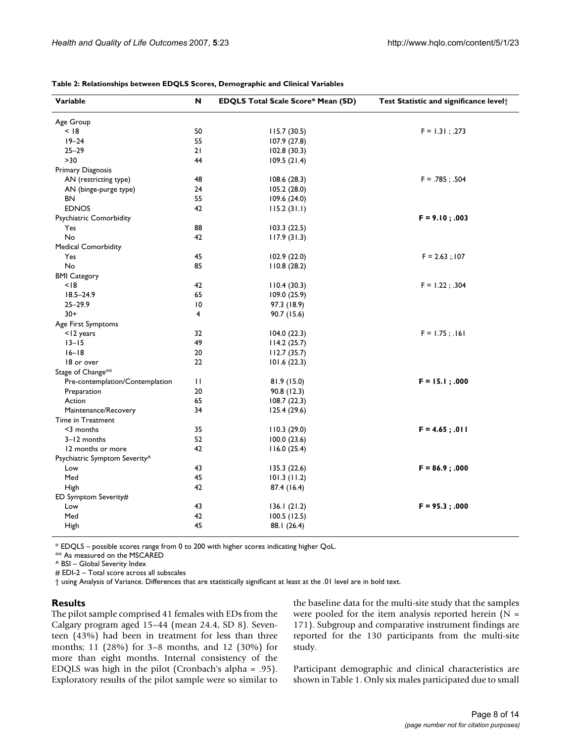| Variable                        | N               | <b>EDQLS Total Scale Score* Mean (SD)</b> | Test Statistic and significance level <sup>+</sup> |
|---------------------------------|-----------------|-------------------------------------------|----------------------------------------------------|
| Age Group                       |                 |                                           |                                                    |
| < 18                            | 50              | 115.7(30.5)                               | $F = 1.31$ ; .273                                  |
| $19 - 24$                       | 55              | 107.9 (27.8)                              |                                                    |
| $25 - 29$                       | 21              | 102.8(30.3)                               |                                                    |
| >30                             | 44              | 109.5(21.4)                               |                                                    |
| Primary Diagnosis               |                 |                                           |                                                    |
| AN (restricting type)           | 48              | 108.6(28.3)                               | $F = .785$ ; .504                                  |
| AN (binge-purge type)           | 24              | 105.2(28.0)                               |                                                    |
| ΒN                              | 55              | 109.6 (24.0)                              |                                                    |
| <b>EDNOS</b>                    | 42              | 115.2(31.1)                               |                                                    |
| Psychiatric Comorbidity         |                 |                                           | $F = 9.10; .003$                                   |
| Yes                             | 88              | 103.3(22.5)                               |                                                    |
| No                              | 42              | 117.9(31.3)                               |                                                    |
| <b>Medical Comorbidity</b>      |                 |                                           |                                                    |
| Yes                             | 45              | 102.9 (22.0)                              | $F = 2.63$ ; 107                                   |
| No                              | 85              | 110.8(28.2)                               |                                                    |
| <b>BMI Category</b>             |                 |                                           |                                                    |
| < 18                            | 42              | 110.4(30.3)                               | $F = 1.22$ ; .304                                  |
| $18.5 - 24.9$                   | 65              | 109.0 (25.9)                              |                                                    |
| $25 - 29.9$                     | $\overline{10}$ | 97.3 (18.9)                               |                                                    |
| $30+$                           | $\overline{4}$  | 90.7 (15.6)                               |                                                    |
| Age First Symptoms              |                 |                                           |                                                    |
| $<$ 12 years                    | 32              | 104.0(22.3)                               | $F = 1.75$ ; $.161$                                |
| $13 - 15$                       | 49              | 114.2(25.7)                               |                                                    |
| $16 - 18$                       | 20              | 112.7(35.7)                               |                                                    |
| 18 or over                      | 22              | 101.6(22.3)                               |                                                    |
| Stage of Change**               |                 |                                           |                                                    |
| Pre-contemplation/Contemplation | $\mathbf{H}$    | 81.9 (15.0)                               | $F = 15.1; .000$                                   |
| Preparation                     | 20              | 90.8(12.3)                                |                                                    |
| Action                          | 65              | 108.7(22.3)                               |                                                    |
| Maintenance/Recovery            | 34              | 125.4 (29.6)                              |                                                    |
| Time in Treatment               |                 |                                           |                                                    |
| $<$ 3 months                    | 35              | 110.3(29.0)                               | $F = 4.65$ ; .011                                  |
| 3-12 months                     | 52              | 100.0(23.6)                               |                                                    |
| 12 months or more               | 42              | 116.0(25.4)                               |                                                    |
| Psychiatric Symptom Severity^   |                 |                                           |                                                    |
| Low                             | 43              | 135.3 (22.6)                              | $F = 86.9; .000$                                   |
| Med                             | 45              | 101.3(11.2)                               |                                                    |
| High                            | 42              | 87.4 (16.4)                               |                                                    |
| ED Symptom Severity#            |                 |                                           |                                                    |
| Low                             | 43              | 136.1(21.2)                               | $F = 95.3$ ; .000                                  |
| Med                             | 42              | 100.5(12.5)                               |                                                    |
| High                            | 45              | 88.1 (26.4)                               |                                                    |
|                                 |                 |                                           |                                                    |

#### **Table 2: Relationships between EDQLS Scores, Demographic and Clinical Variables**

\* EDQLS – possible scores range from 0 to 200 with higher scores indicating higher QoL.

\*\* As measured on the MSCARED

^ BSI – Global Severity Index

# EDI-2 – Total score across all subscales

† using Analysis of Variance. Differences that are statistically significant at least at the .01 level are in bold text.

#### **Results**

The pilot sample comprised 41 females with EDs from the Calgary program aged 15–44 (mean 24.4, SD 8). Seventeen (43%) had been in treatment for less than three months; 11 (28%) for 3–8 months, and 12 (30%) for more than eight months. Internal consistency of the EDQLS was high in the pilot (Cronbach's alpha = .95). Exploratory results of the pilot sample were so similar to the baseline data for the multi-site study that the samples were pooled for the item analysis reported herein  $(N =$ 171). Subgroup and comparative instrument findings are reported for the 130 participants from the multi-site study.

Participant demographic and clinical characteristics are shown in Table 1. Only six males participated due to small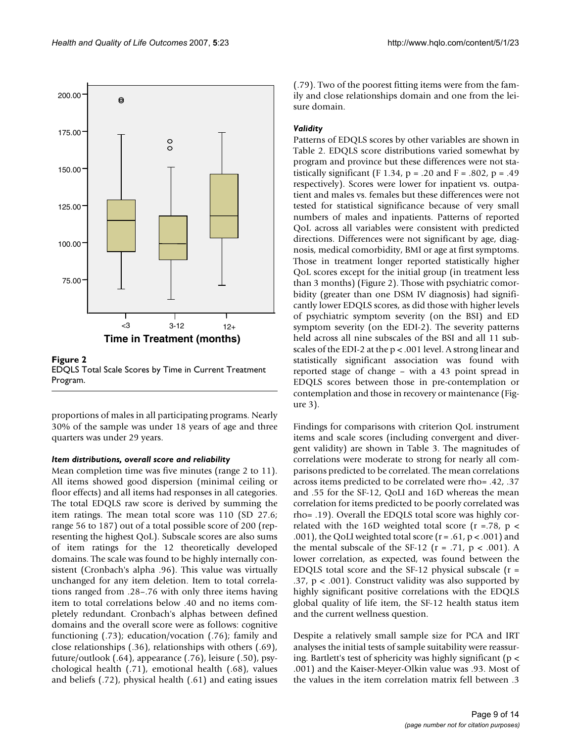

#### **Figure 2**

EDQLS Total Scale Scores by Time in Current Treatment Program.

proportions of males in all participating programs. Nearly 30% of the sample was under 18 years of age and three quarters was under 29 years.

#### *Item distributions, overall score and reliability*

Mean completion time was five minutes (range 2 to 11). All items showed good dispersion (minimal ceiling or floor effects) and all items had responses in all categories. The total EDQLS raw score is derived by summing the item ratings. The mean total score was 110 (SD 27.6; range 56 to 187) out of a total possible score of 200 (representing the highest QoL). Subscale scores are also sums of item ratings for the 12 theoretically developed domains. The scale was found to be highly internally consistent (Cronbach's alpha .96). This value was virtually unchanged for any item deletion. Item to total correlations ranged from .28–.76 with only three items having item to total correlations below .40 and no items completely redundant. Cronbach's alphas between defined domains and the overall score were as follows: cognitive functioning (.73); education/vocation (.76); family and close relationships (.36), relationships with others (.69), future/outlook (.64), appearance (.76), leisure (.50), psychological health (.71), emotional health (.68), values and beliefs (.72), physical health (.61) and eating issues (.79). Two of the poorest fitting items were from the family and close relationships domain and one from the leisure domain.

#### *Validity*

Patterns of EDQLS scores by other variables are shown in Table 2. EDQLS score distributions varied somewhat by program and province but these differences were not statistically significant (F 1.34, p = .20 and F = .802, p = .49) respectively). Scores were lower for inpatient vs. outpatient and males vs. females but these differences were not tested for statistical significance because of very small numbers of males and inpatients. Patterns of reported QoL across all variables were consistent with predicted directions. Differences were not significant by age, diagnosis, medical comorbidity, BMI or age at first symptoms. Those in treatment longer reported statistically higher QoL scores except for the initial group (in treatment less than 3 months) (Figure 2). Those with psychiatric comorbidity (greater than one DSM IV diagnosis) had significantly lower EDQLS scores, as did those with higher levels of psychiatric symptom severity (on the BSI) and ED symptom severity (on the EDI-2). The severity patterns held across all nine subscales of the BSI and all 11 subscales of the EDI-2 at the p < .001 level. A strong linear and statistically significant association was found with reported stage of change – with a 43 point spread in EDQLS scores between those in pre-contemplation or contemplation and those in recovery or maintenance (Figure 3).

Findings for comparisons with criterion QoL instrument items and scale scores (including convergent and divergent validity) are shown in Table 3. The magnitudes of correlations were moderate to strong for nearly all comparisons predicted to be correlated. The mean correlations across items predicted to be correlated were rho= .42, .37 and .55 for the SF-12, QoLI and 16D whereas the mean correlation for items predicted to be poorly correlated was rho= .19). Overall the EDQLS total score was highly correlated with the 16D weighted total score ( $r = .78$ ,  $p <$ .001), the QoLI weighted total score  $(r = .61, p < .001)$  and the mental subscale of the SF-12 ( $r = .71$ ,  $p < .001$ ). A lower correlation, as expected, was found between the EDQLS total score and the SF-12 physical subscale  $(r =$ .37,  $p < .001$ ). Construct validity was also supported by highly significant positive correlations with the EDQLS global quality of life item, the SF-12 health status item and the current wellness question.

Despite a relatively small sample size for PCA and IRT analyses the initial tests of sample suitability were reassuring. Bartlett's test of sphericity was highly significant ( $p <$ .001) and the Kaiser-Meyer-Olkin value was .93. Most of the values in the item correlation matrix fell between .3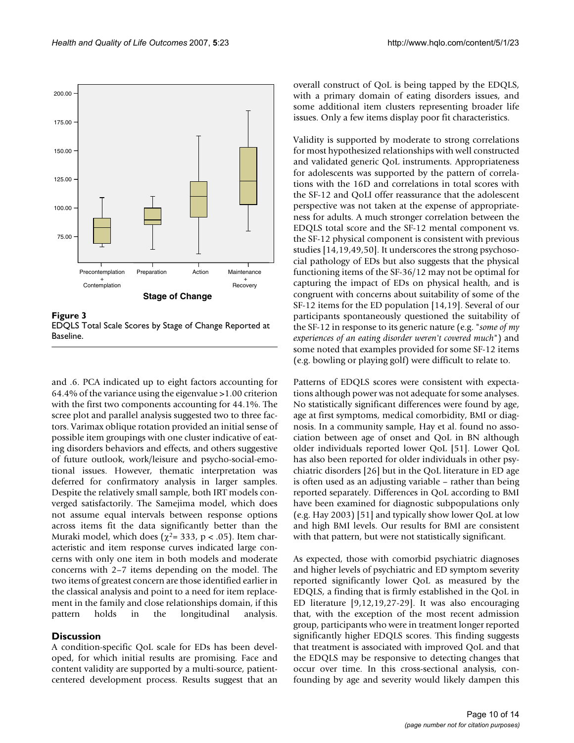

**Figure 3** EDQLS Total Scale Scores by Stage of Change Reported at Baseline.

and .6. PCA indicated up to eight factors accounting for 64.4% of the variance using the eigenvalue >1.00 criterion with the first two components accounting for 44.1%. The scree plot and parallel analysis suggested two to three factors. Varimax oblique rotation provided an initial sense of possible item groupings with one cluster indicative of eating disorders behaviors and effects, and others suggestive of future outlook, work/leisure and psycho-social-emotional issues. However, thematic interpretation was deferred for confirmatory analysis in larger samples. Despite the relatively small sample, both IRT models converged satisfactorily. The Samejima model, which does not assume equal intervals between response options across items fit the data significantly better than the Muraki model, which does ( $\chi^2$ = 333, p < .05). Item characteristic and item response curves indicated large concerns with only one item in both models and moderate concerns with 2–7 items depending on the model. The two items of greatest concern are those identified earlier in the classical analysis and point to a need for item replacement in the family and close relationships domain, if this pattern holds in the longitudinal analysis.

#### **Discussion**

A condition-specific QoL scale for EDs has been developed, for which initial results are promising. Face and content validity are supported by a multi-source, patientcentered development process. Results suggest that an

overall construct of QoL is being tapped by the EDQLS, with a primary domain of eating disorders issues, and some additional item clusters representing broader life issues. Only a few items display poor fit characteristics.

Validity is supported by moderate to strong correlations for most hypothesized relationships with well constructed and validated generic QoL instruments. Appropriateness for adolescents was supported by the pattern of correlations with the 16D and correlations in total scores with the SF-12 and QoLI offer reassurance that the adolescent perspective was not taken at the expense of appropriateness for adults. A much stronger correlation between the EDQLS total score and the SF-12 mental component vs. the SF-12 physical component is consistent with previous studies [14,19,49,50]. It underscores the strong psychosocial pathology of EDs but also suggests that the physical functioning items of the SF-36/12 may not be optimal for capturing the impact of EDs on physical health, and is congruent with concerns about suitability of some of the SF-12 items for the ED population [14,19]. Several of our participants spontaneously questioned the suitability of the SF-12 in response to its generic nature (e.g. "*some of my experiences of an eating disorder weren't covered much*") and some noted that examples provided for some SF-12 items (e.g. bowling or playing golf) were difficult to relate to.

Patterns of EDQLS scores were consistent with expectations although power was not adequate for some analyses. No statistically significant differences were found by age, age at first symptoms, medical comorbidity, BMI or diagnosis. In a community sample, Hay et al. found no association between age of onset and QoL in BN although older individuals reported lower QoL [51]. Lower QoL has also been reported for older individuals in other psychiatric disorders [26] but in the QoL literature in ED age is often used as an adjusting variable – rather than being reported separately. Differences in QoL according to BMI have been examined for diagnostic subpopulations only (e.g. Hay 2003) [51] and typically show lower QoL at low and high BMI levels. Our results for BMI are consistent with that pattern, but were not statistically significant.

As expected, those with comorbid psychiatric diagnoses and higher levels of psychiatric and ED symptom severity reported significantly lower QoL as measured by the EDQLS, a finding that is firmly established in the QoL in ED literature [9,12,19,27-29]. It was also encouraging that, with the exception of the most recent admission group, participants who were in treatment longer reported significantly higher EDQLS scores. This finding suggests that treatment is associated with improved QoL and that the EDQLS may be responsive to detecting changes that occur over time. In this cross-sectional analysis, confounding by age and severity would likely dampen this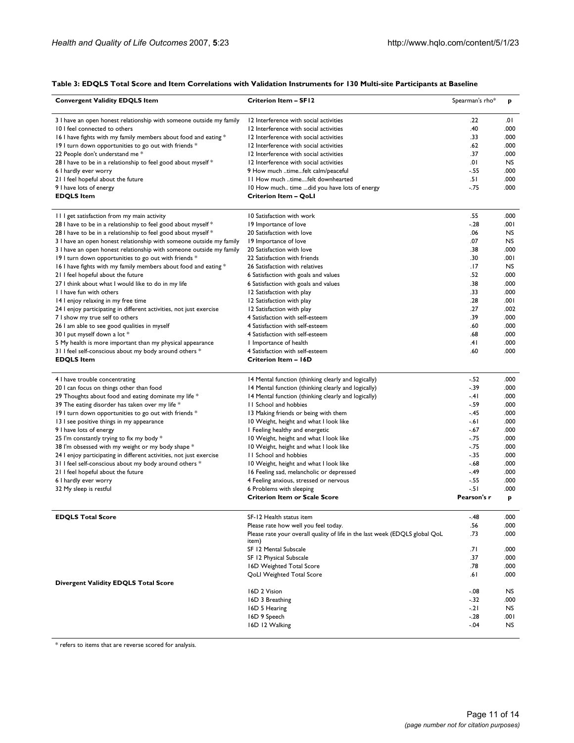#### **Table 3: EDQLS Total Score and Item Correlations with Validation Instruments for 130 Multi-site Participants at Baseline**

| <b>Convergent Validity EDQLS Item</b>                               | Criterion Item - SF12                                                                | Spearman's rho* | p           |
|---------------------------------------------------------------------|--------------------------------------------------------------------------------------|-----------------|-------------|
|                                                                     |                                                                                      |                 |             |
| 3 I have an open honest relationship with someone outside my family | 12 Interference with social activities                                               | .22             | .01         |
| 10 I feel connected to others                                       | 12 Interference with social activities                                               | .40             | .000        |
| 16 I have fights with my family members about food and eating *     | 12 Interference with social activities                                               | .33             | .000        |
| 19 I turn down opportunities to go out with friends *               | 12 Interference with social activities                                               | .62             | .000        |
| 22 People don't understand me *                                     | 12 Interference with social activities                                               | .37             | .000        |
| 28 I have to be in a relationship to feel good about myself $\ast$  | 12 Interference with social activities                                               | .01             | NS.         |
| 6 I hardly ever worry                                               | 9 How much timefelt calm/peaceful                                                    | -.55            | .000        |
| 21 I feel hopeful about the future                                  | 11 How much timefelt downhearted                                                     | .51             | .000        |
| 9 I have lots of energy                                             | 10 How much time  did you have lots of energy                                        | - 75            | .000        |
| <b>EDQLS Item</b>                                                   | Criterion Item - QoLI                                                                |                 |             |
| III get satisfaction from my main activity                          | 10 Satisfaction with work                                                            | .55             | .000        |
| 28 I have to be in a relationship to feel good about myself $\ast$  | 19 Importance of love                                                                | $-28$           | .001        |
| 28 I have to be in a relationship to feel good about myself $\ast$  | 20 Satisfaction with love                                                            | .06             | NS.         |
| 3 I have an open honest relationship with someone outside my family | 19 Importance of love                                                                | .07             | NS.         |
| 3 I have an open honest relationship with someone outside my family | 20 Satisfaction with love                                                            | .38             | .000        |
| 19 I turn down opportunities to go out with friends *               | 22 Satisfaction with friends                                                         | .30             | .001        |
| 16 I have fights with my family members about food and eating *     | 26 Satisfaction with relatives                                                       | .17             | NS.         |
| 21 I feel hopeful about the future                                  | 6 Satisfaction with goals and values                                                 | .52             | .000        |
| 27 I think about what I would like to do in my life                 | 6 Satisfaction with goals and values                                                 | .38             | .000        |
| I I have fun with others                                            | 12 Satisfaction with play                                                            | .33             | .000        |
| 14 I enjoy relaxing in my free time                                 | 12 Satisfaction with play                                                            | .28             | .001        |
| 24 I enjoy participating in different activities, not just exercise | 12 Satisfaction with play                                                            | .27             | .002        |
| 7 I show my true self to others                                     | 4 Satisfaction with self-esteem                                                      | .39             | .000        |
| 26 I am able to see good qualities in myself                        | 4 Satisfaction with self-esteem                                                      | .60             | .000        |
| 30 I put myself down a lot *                                        | 4 Satisfaction with self-esteem                                                      | .68             | .000        |
| 5 My health is more important than my physical appearance           | I Importance of health                                                               | .4۱             | .000        |
| 31 I feel self-conscious about my body around others *              | 4 Satisfaction with self-esteem                                                      | .60             | .000        |
| <b>EDQLS Item</b>                                                   | Criterion Item - 16D                                                                 |                 |             |
| 4 I have trouble concentrating                                      | 14 Mental function (thinking clearly and logically)                                  | $-52$           | .000        |
| 20 I can focus on things other than food                            | 14 Mental function (thinking clearly and logically)                                  | -.39            | .000        |
| 29 Thoughts about food and eating dominate my life *                | 14 Mental function (thinking clearly and logically)                                  | -.41            | .000        |
| 39 The eating disorder has taken over my life *                     | 11 School and hobbies                                                                | -.59            | .000        |
| 19 I turn down opportunities to go out with friends *               | 13 Making friends or being with them                                                 | - 45            | .000        |
| 13 I see positive things in my appearance                           | 10 Weight, height and what I look like                                               | -.61            | .000        |
| 9 I have lots of energy                                             | I Feeling healthy and energetic                                                      | -.67            | .000        |
| 25 I'm constantly trying to fix my body *                           | 10 Weight, height and what I look like                                               | - 75            | .000        |
| 38 I'm obsessed with my weight or my body shape *                   | 10 Weight, height and what I look like                                               | $-75$           | .000        |
| 24 I enjoy participating in different activities, not just exercise | II School and hobbies                                                                | $-35$           | .000        |
| 31 I feel self-conscious about my body around others *              | 10 Weight, height and what I look like                                               | -.68            | .000        |
| 21 I feel hopeful about the future                                  | 16 Feeling sad, melancholic or depressed                                             | -.49            | .000        |
| 6 I hardly ever worry                                               | 4 Feeling anxious, stressed or nervous                                               | -.55            | .000        |
| 32 My sleep is restful                                              | 6 Problems with sleeping                                                             | $-51$           | .000        |
|                                                                     | <b>Criterion Item or Scale Score</b>                                                 | Pearson's r     | p           |
| <b>EDQLS Total Score</b>                                            | SF-12 Health status item                                                             | $-.48$          | .000        |
|                                                                     | Please rate how well you feel today.                                                 | .56             | .000        |
|                                                                     | Please rate your overall quality of life in the last week (EDQLS global QoL<br>item) | .73             | .000        |
|                                                                     | SF 12 Mental Subscale                                                                | .71             | .000        |
|                                                                     | SF 12 Physical Subscale                                                              | .37             | .000        |
|                                                                     | 16D Weighted Total Score                                                             | .78             | .000        |
|                                                                     | <b>QoLI Weighted Total Score</b>                                                     | .6۱             | .000        |
| <b>Divergent Validity EDQLS Total Score</b>                         |                                                                                      |                 |             |
|                                                                     | 16D 2 Vision                                                                         | -.08            | NS.         |
|                                                                     | 16D 3 Breathing                                                                      | -.32            | .000        |
|                                                                     | 16D 5 Hearing                                                                        | -.21            | NS.         |
|                                                                     | 16D 9 Speech                                                                         | $-.28$<br>-.04  | .001<br>NS. |
|                                                                     | 16D 12 Walking                                                                       |                 |             |

 $*$  refers to items that are reverse scored for analysis.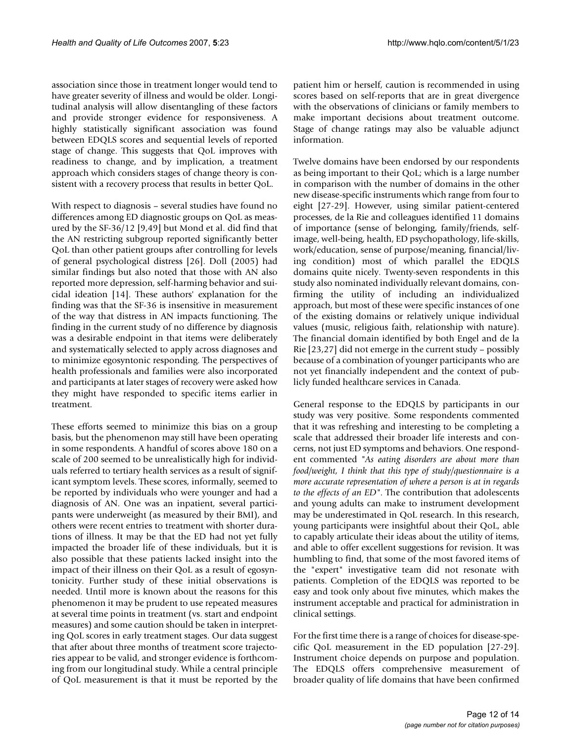association since those in treatment longer would tend to have greater severity of illness and would be older. Longitudinal analysis will allow disentangling of these factors and provide stronger evidence for responsiveness. A highly statistically significant association was found between EDQLS scores and sequential levels of reported stage of change. This suggests that QoL improves with readiness to change, and by implication, a treatment approach which considers stages of change theory is consistent with a recovery process that results in better QoL.

With respect to diagnosis – several studies have found no differences among ED diagnostic groups on QoL as measured by the SF-36/12 [9,49] but Mond et al. did find that the AN restricting subgroup reported significantly better QoL than other patient groups after controlling for levels of general psychological distress [26]. Doll (2005) had similar findings but also noted that those with AN also reported more depression, self-harming behavior and suicidal ideation [14]. These authors' explanation for the finding was that the SF-36 is insensitive in measurement of the way that distress in AN impacts functioning. The finding in the current study of no difference by diagnosis was a desirable endpoint in that items were deliberately and systematically selected to apply across diagnoses and to minimize egosyntonic responding. The perspectives of health professionals and families were also incorporated and participants at later stages of recovery were asked how they might have responded to specific items earlier in treatment.

These efforts seemed to minimize this bias on a group basis, but the phenomenon may still have been operating in some respondents. A handful of scores above 180 on a scale of 200 seemed to be unrealistically high for individuals referred to tertiary health services as a result of significant symptom levels. These scores, informally, seemed to be reported by individuals who were younger and had a diagnosis of AN. One was an inpatient, several participants were underweight (as measured by their BMI), and others were recent entries to treatment with shorter durations of illness. It may be that the ED had not yet fully impacted the broader life of these individuals, but it is also possible that these patients lacked insight into the impact of their illness on their QoL as a result of egosyntonicity. Further study of these initial observations is needed. Until more is known about the reasons for this phenomenon it may be prudent to use repeated measures at several time points in treatment (vs. start and endpoint measures) and some caution should be taken in interpreting QoL scores in early treatment stages. Our data suggest that after about three months of treatment score trajectories appear to be valid, and stronger evidence is forthcoming from our longitudinal study. While a central principle of QoL measurement is that it must be reported by the

patient him or herself, caution is recommended in using scores based on self-reports that are in great divergence with the observations of clinicians or family members to make important decisions about treatment outcome. Stage of change ratings may also be valuable adjunct information.

Twelve domains have been endorsed by our respondents as being important to their QoL; which is a large number in comparison with the number of domains in the other new disease-specific instruments which range from four to eight [27-29]. However, using similar patient-centered processes, de la Rie and colleagues identified 11 domains of importance (sense of belonging, family/friends, selfimage, well-being, health, ED psychopathology, life-skills, work/education, sense of purpose/meaning, financial/living condition) most of which parallel the EDQLS domains quite nicely. Twenty-seven respondents in this study also nominated individually relevant domains, confirming the utility of including an individualized approach, but most of these were specific instances of one of the existing domains or relatively unique individual values (music, religious faith, relationship with nature). The financial domain identified by both Engel and de la Rie [23,27] did not emerge in the current study – possibly because of a combination of younger participants who are not yet financially independent and the context of publicly funded healthcare services in Canada.

General response to the EDQLS by participants in our study was very positive. Some respondents commented that it was refreshing and interesting to be completing a scale that addressed their broader life interests and concerns, not just ED symptoms and behaviors. One respondent commented *"As eating disorders are about more than food/weight, I think that this type of study/questionnaire is a more accurate representation of where a person is at in regards to the effects of an ED"*. The contribution that adolescents and young adults can make to instrument development may be underestimated in QoL research. In this research, young participants were insightful about their QoL, able to capably articulate their ideas about the utility of items, and able to offer excellent suggestions for revision. It was humbling to find, that some of the most favored items of the "expert" investigative team did not resonate with patients. Completion of the EDQLS was reported to be easy and took only about five minutes, which makes the instrument acceptable and practical for administration in clinical settings.

For the first time there is a range of choices for disease-specific QoL measurement in the ED population [27-29]. Instrument choice depends on purpose and population. The EDQLS offers comprehensive measurement of broader quality of life domains that have been confirmed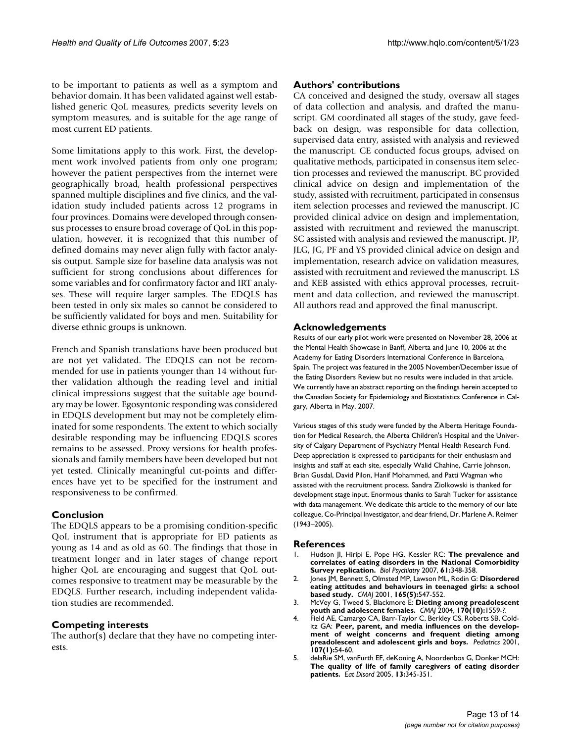to be important to patients as well as a symptom and behavior domain. It has been validated against well established generic QoL measures, predicts severity levels on symptom measures, and is suitable for the age range of most current ED patients.

Some limitations apply to this work. First, the development work involved patients from only one program; however the patient perspectives from the internet were geographically broad, health professional perspectives spanned multiple disciplines and five clinics, and the validation study included patients across 12 programs in four provinces. Domains were developed through consensus processes to ensure broad coverage of QoL in this population, however, it is recognized that this number of defined domains may never align fully with factor analysis output. Sample size for baseline data analysis was not sufficient for strong conclusions about differences for some variables and for confirmatory factor and IRT analyses. These will require larger samples. The EDQLS has been tested in only six males so cannot be considered to be sufficiently validated for boys and men. Suitability for diverse ethnic groups is unknown.

French and Spanish translations have been produced but are not yet validated. The EDQLS can not be recommended for use in patients younger than 14 without further validation although the reading level and initial clinical impressions suggest that the suitable age boundary may be lower. Egosyntonic responding was considered in EDQLS development but may not be completely eliminated for some respondents. The extent to which socially desirable responding may be influencing EDQLS scores remains to be assessed. Proxy versions for health professionals and family members have been developed but not yet tested. Clinically meaningful cut-points and differences have yet to be specified for the instrument and responsiveness to be confirmed.

#### **Conclusion**

The EDQLS appears to be a promising condition-specific QoL instrument that is appropriate for ED patients as young as 14 and as old as 60. The findings that those in treatment longer and in later stages of change report higher QoL are encouraging and suggest that QoL outcomes responsive to treatment may be measurable by the EDQLS. Further research, including independent validation studies are recommended.

#### **Competing interests**

The author(s) declare that they have no competing interests.

#### **Authors' contributions**

CA conceived and designed the study, oversaw all stages of data collection and analysis, and drafted the manuscript. GM coordinated all stages of the study, gave feedback on design, was responsible for data collection, supervised data entry, assisted with analysis and reviewed the manuscript. CE conducted focus groups, advised on qualitative methods, participated in consensus item selection processes and reviewed the manuscript. BC provided clinical advice on design and implementation of the study, assisted with recruitment, participated in consensus item selection processes and reviewed the manuscript. JC provided clinical advice on design and implementation, assisted with recruitment and reviewed the manuscript. SC assisted with analysis and reviewed the manuscript. JP, JLG, JG, PF and YS provided clinical advice on design and implementation, research advice on validation measures, assisted with recruitment and reviewed the manuscript. LS and KEB assisted with ethics approval processes, recruitment and data collection, and reviewed the manuscript. All authors read and approved the final manuscript.

#### **Acknowledgements**

Results of our early pilot work were presented on November 28, 2006 at the Mental Health Showcase in Banff, Alberta and June 10, 2006 at the Academy for Eating Disorders International Conference in Barcelona, Spain. The project was featured in the 2005 November/December issue of the Eating Disorders Review but no results were included in that article. We currently have an abstract reporting on the findings herein accepted to the Canadian Society for Epidemiology and Biostatistics Conference in Calgary, Alberta in May, 2007.

Various stages of this study were funded by the Alberta Heritage Foundation for Medical Research, the Alberta Children's Hospital and the University of Calgary Department of Psychiatry Mental Health Research Fund. Deep appreciation is expressed to participants for their enthusiasm and insights and staff at each site, especially Walid Chahine, Carrie Johnson, Brian Gusdal, David Pilon, Hanif Mohammed, and Patti Wagman who assisted with the recruitment process. Sandra Ziolkowski is thanked for development stage input. Enormous thanks to Sarah Tucker for assistance with data management. We dedicate this article to the memory of our late colleague, Co-Principal Investigator, and dear friend, Dr. Marlene A. Reimer (1943–2005).

#### **References**

- 1. Hudson JI, Hiripi E, Pope HG, Kessler RC: **[The prevalence and](http://www.ncbi.nlm.nih.gov/entrez/query.fcgi?cmd=Retrieve&db=PubMed&dopt=Abstract&list_uids=16815322) [correlates of eating disorders in the National Comorbidity](http://www.ncbi.nlm.nih.gov/entrez/query.fcgi?cmd=Retrieve&db=PubMed&dopt=Abstract&list_uids=16815322) [Survey replication.](http://www.ncbi.nlm.nih.gov/entrez/query.fcgi?cmd=Retrieve&db=PubMed&dopt=Abstract&list_uids=16815322)** *Biol Psychiatry* 2007, **61:**348-358.
- 2. Jones JM, Bennett S, Olmsted MP, Lawson ML, Rodin G: **[Disordered](http://www.ncbi.nlm.nih.gov/entrez/query.fcgi?cmd=Retrieve&db=PubMed&dopt=Abstract&list_uids=11563206) [eating attitudes and behaviours in teenaged girls: a school](http://www.ncbi.nlm.nih.gov/entrez/query.fcgi?cmd=Retrieve&db=PubMed&dopt=Abstract&list_uids=11563206) [based study.](http://www.ncbi.nlm.nih.gov/entrez/query.fcgi?cmd=Retrieve&db=PubMed&dopt=Abstract&list_uids=11563206)** *CMAJ* 2001, **165(5):**547-552.
- 3. McVey G, Tweed S, Blackmore E: **[Dieting among preadolescent](http://www.ncbi.nlm.nih.gov/entrez/query.fcgi?cmd=Retrieve&db=PubMed&dopt=Abstract&list_uids=15136549) [youth and adolescent females.](http://www.ncbi.nlm.nih.gov/entrez/query.fcgi?cmd=Retrieve&db=PubMed&dopt=Abstract&list_uids=15136549)** *CMAJ* 2004, **170(10):**1559-?.
- 4. Field AE, Camargo CA, Barr-Taylor C, Berkley CS, Roberts SB, Colditz GA: **[Peer, parent, and media influences on the develop](http://www.ncbi.nlm.nih.gov/entrez/query.fcgi?cmd=Retrieve&db=PubMed&dopt=Abstract&list_uids=11134434)[ment of weight concerns and frequent dieting among](http://www.ncbi.nlm.nih.gov/entrez/query.fcgi?cmd=Retrieve&db=PubMed&dopt=Abstract&list_uids=11134434) [preadolescent and adolescent girls and boys.](http://www.ncbi.nlm.nih.gov/entrez/query.fcgi?cmd=Retrieve&db=PubMed&dopt=Abstract&list_uids=11134434)** *Pediatrics* 2001, **107(1):**54-60.
- 5. delaRie SM, vanFurth EF, deKoning A, Noordenbos G, Donker MCH: **[The quality of life of family caregivers of eating disorder](http://www.ncbi.nlm.nih.gov/entrez/query.fcgi?cmd=Retrieve&db=PubMed&dopt=Abstract&list_uids=16864349) [patients.](http://www.ncbi.nlm.nih.gov/entrez/query.fcgi?cmd=Retrieve&db=PubMed&dopt=Abstract&list_uids=16864349)** *Eat Disord* 2005, **13:**345-351.